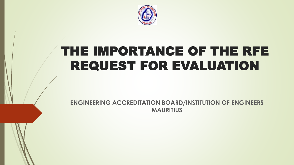

## THE IMPORTANCE OF THE RFE REQUEST FOR EVALUATION

**ENGINEERING ACCREDITATION BOARD/INSTITUTION OF ENGINEERS MAURITIUS**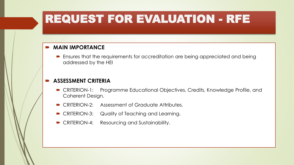## REQUEST FOR EVALUATION - RFE

#### **MAIN IMPORTANCE**

 Ensures that the requirements for accreditation are being appreciated and being addressed by the HEI

#### **ASSESSMENT CRITERIA**

- CRITERION-1: Programme Educational Objectives, Credits, Knowledge Profile, and Coherent Design.
- CRITERION-2: Assessment of Graduate Attributes.
- CRITERION-3: Quality of Teaching and Learning.
- CRITERION-4: Resourcing and Sustainability.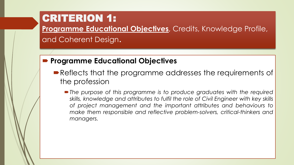**Programme Educational Objectives**, Credits, Knowledge Profile,

and Coherent Design.

### **Programme Educational Objectives**

- Reflects that the programme addresses the requirements of the profession
	- *The purpose of this programme is to produce graduates with the required skills, knowledge and attributes to fulfil the role of Civil Engineer with key skills of project management and the important attributes and behaviours to make them responsible and reflective problem-solvers, critical-thinkers and managers.*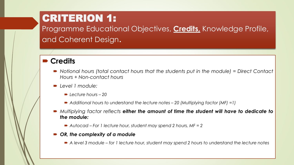Programme Educational Objectives, **Credits,** Knowledge Profile, and Coherent Design.

#### **Credits**

- *Notional hours (total contact hours that the students put in the module) = Direct Contact Hours + Non-contact hours*
- *Level 1 module:*
	- *Lecture hours – 20*
	- *Additional hours to understand the lecture notes – 20 (Multiplying factor (MF) =1)*
- *Multiplying factor reflects either the amount of time the student will have to dedicate to the module:*
	- *Autocad – For 1 lecture hour, student may spend 2 hours, MF = 2*
- *OR, the complexity of a module*
	- $\blacktriangleright$  A level 3 module for 1 lecture hour, student may spend 2 hours to understand the lecture notes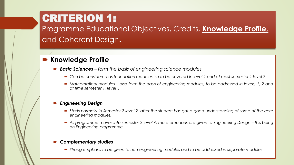Programme Educational Objectives, Credits, **Knowledge Profile,**  and Coherent Design.

#### **Knowledge Profile**

- *Basic Sciences – form the basis of engineering science modules*
	- Can be considered as foundation modules, so to be covered in level 1 and at most semester 1 level 2
	- Mathematical modules also form the basis of engineering modules, to be addressed in levels, 1, 2 and *at time semester 1, level 3*

#### *Engineering Design*

- Starts normally in Semester 2 level 2, after the student has got a good understanding of some of the core *engineering modules.*
- As programme moves into semester 2 level 4, more emphasis are given to Engineering Design this being *an Engineering programme,*

#### *Complementary studies*

*Strong emphasis to be given to non-engineering modules and to be addressed in separate modules*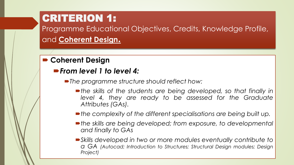Programme Educational Objectives, Credits, Knowledge Profile, and **Coherent Design.**

### **Coherent Design**

- *From level 1 to level 4:*
	- *The programme structure should reflect how:*
		- *the skills of the students are being developed, so that finally in level 4, they are ready to be assessed for the Graduate Attributes (GAs).*
		- *the complexity of the different specialisations are being built up.*
		- *the skills are being developed; from exposure, to developmental and finally to GAs*
		- *Skills developed in two or more modules eventually contribute to a GA (Autocad; Introduction to Structures; Structural Design modules; Design Project)*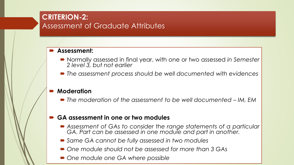### **CRITERION-2:**  Assessment of Graduate Attributes

#### **Assessment:**

- Normally assessed in final year, with one or two assessed *in Semester 2 level 3, but not earlier*
- *The assessment process should be well documented with evidences*

#### **Moderation**

*The moderation of the assessment to be well documented – IM, EM*

#### **GA assessment in one or two modules**

- *Assessment of GAs to consider the range statements of a particular GA. Part can be assessed in one module and part in another.*
- *Same GA cannot be fully assessed in two modules*
- *One module should not be assessed for more than 3 GAs*
- *One module one GA where possible*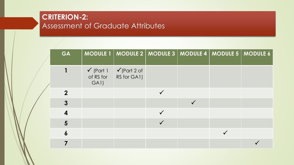### **CRITERION-2:**  Assessment of Graduate Attributes

| GA                      |      |                                                                           | MODULE 1   MODULE 2   MODULE 3   MODULE 4   MODULE 5   MODULE 6 |  |
|-------------------------|------|---------------------------------------------------------------------------|-----------------------------------------------------------------|--|
|                         | GA1) | $\checkmark$ (Part 1 $\checkmark$ (Part 2 of<br>of RS for $ $ RS for GA1) |                                                                 |  |
| $\overline{2}$          |      |                                                                           |                                                                 |  |
| $\boldsymbol{3}$        |      |                                                                           |                                                                 |  |
| $\overline{\mathbf{4}}$ |      |                                                                           |                                                                 |  |
| 5                       |      |                                                                           |                                                                 |  |
| $\boldsymbol{6}$        |      |                                                                           |                                                                 |  |
|                         |      |                                                                           |                                                                 |  |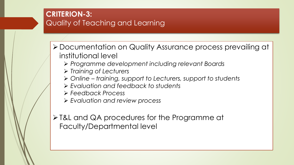### **CRITERION-3:**  Quality of Teaching and Learning

- Documentation on Quality Assurance process prevailing at institutional level
	- *Programme development including relevant Boards*
	- *Training of Lecturers*
	- *Online – training, support to Lecturers, support to students*
	- *Evaluation and feedback to students*
	- *Feedback Process*
	- *Evaluation and review process*

 $\triangleright$  T&L and QA procedures for the Programme at Faculty/Departmental level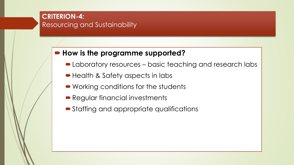#### **CRITERION-4:**  Resourcing and Sustainability

### **How is the programme supported?**

- Laboratory resources basic teaching and research labs
- Health & Safety aspects in labs
- Working conditions for the students
- Regular financial investments
- Staffing and appropriate qualifications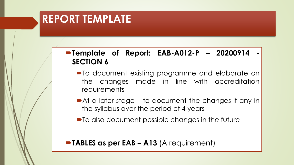## **REPORT TEMPLATE**

### **Template of Report: EAB-A012-P – 20200914 - SECTION 6**

- $\blacksquare$  To document existing programme and elaborate on the changes made in line with accreditation requirements
- At a later stage to document the changes if any in the syllabus over the period of 4 years
- $\blacksquare$  To also document possible changes in the future

#### **TABLES as per EAB – A13** (A requirement)